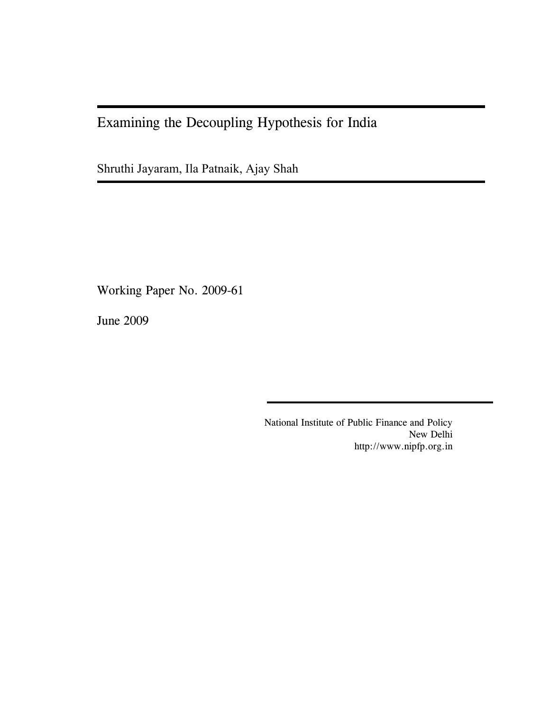## Examining the Decoupling Hypothesis for India

Shruthi Jayaram, Ila Patnaik, Ajay Shah

Working Paper No. 2009-61

June 2009

National Institute of Public Finance and Policy New Delhi http://www.nipfp.org.in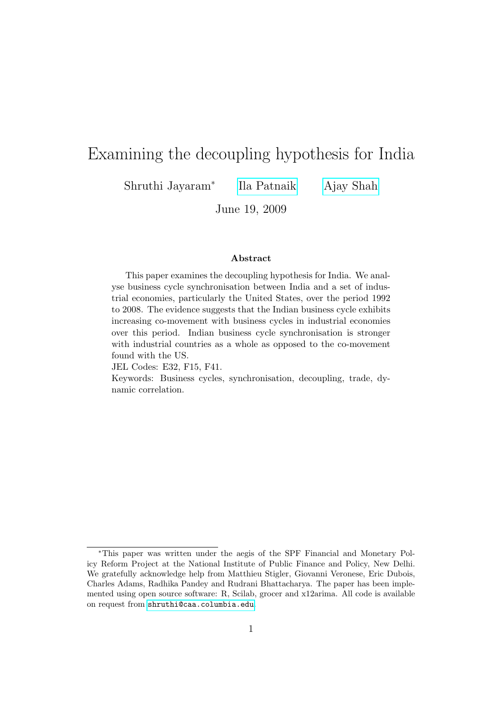# Examining the decoupling hypothesis for India

Shruthi Jayaram<sup>∗</sup> [Ila Patnaik](http://openlib.org/home/ila) [Ajay Shah](http://www.mayin.org/ajayshah)

June 19, 2009

#### Abstract

This paper examines the decoupling hypothesis for India. We analyse business cycle synchronisation between India and a set of industrial economies, particularly the United States, over the period 1992 to 2008. The evidence suggests that the Indian business cycle exhibits increasing co-movement with business cycles in industrial economies over this period. Indian business cycle synchronisation is stronger with industrial countries as a whole as opposed to the co-movement found with the US.

JEL Codes: E32, F15, F41.

Keywords: Business cycles, synchronisation, decoupling, trade, dynamic correlation.

<sup>∗</sup>This paper was written under the aegis of the SPF Financial and Monetary Policy Reform Project at the National Institute of Public Finance and Policy, New Delhi. We gratefully acknowledge help from Matthieu Stigler, Giovanni Veronese, Eric Dubois, Charles Adams, Radhika Pandey and Rudrani Bhattacharya. The paper has been implemented using open source software: R, Scilab, grocer and x12arima. All code is available on request from <shruthi@caa.columbia.edu>.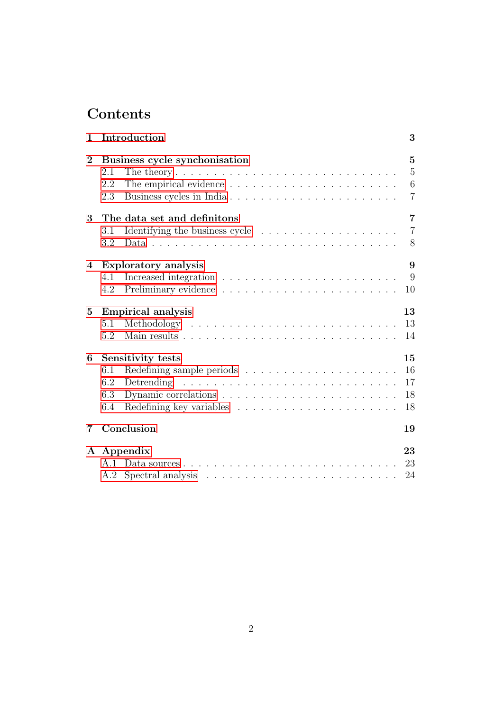## Contents

| $\mathbf{1}$   |     | Introduction                                                              | 3              |
|----------------|-----|---------------------------------------------------------------------------|----------------|
| $\overline{2}$ |     | Business cycle synchonisation                                             | $\overline{5}$ |
|                | 2.1 |                                                                           | $\overline{5}$ |
|                | 2.2 |                                                                           | 6              |
|                | 2.3 | Business cycles in India                                                  | $\overline{7}$ |
| 3              |     | The data set and definitons                                               | $\overline{7}$ |
|                | 3.1 |                                                                           | $\overline{7}$ |
|                | 3.2 |                                                                           | 8              |
| 4              |     | Exploratory analysis                                                      | 9              |
|                | 4.1 |                                                                           | 9              |
|                | 4.2 |                                                                           | 10             |
| $\bf{5}$       |     | <b>Empirical analysis</b>                                                 | 13             |
|                | 5.1 |                                                                           | 13             |
|                | 5.2 |                                                                           | 14             |
| 6              |     | Sensitivity tests                                                         | 15             |
|                | 6.1 |                                                                           | 16             |
|                | 6.2 |                                                                           | 17             |
|                | 6.3 |                                                                           | 18             |
|                | 6.4 |                                                                           | 18             |
| $\overline{7}$ |     | Conclusion                                                                | 19             |
|                |     | A Appendix                                                                | 23             |
|                | A.1 |                                                                           | 23             |
|                | A.2 | Spectral analysis $\dots \dots \dots \dots \dots \dots \dots \dots \dots$ | 24             |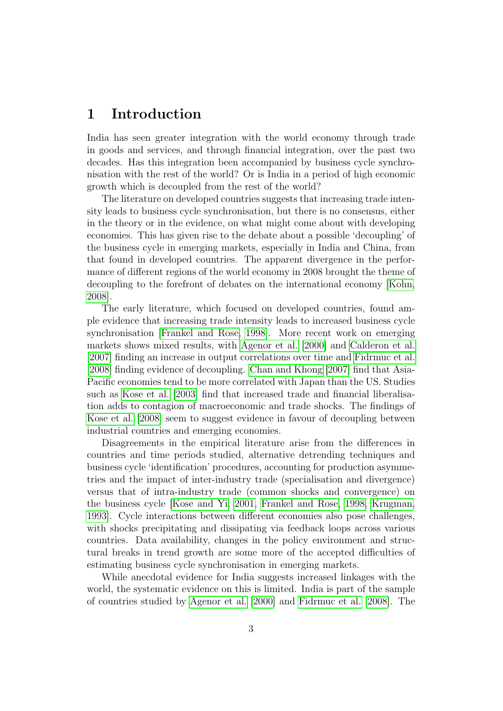### <span id="page-3-0"></span>1 Introduction

India has seen greater integration with the world economy through trade in goods and services, and through financial integration, over the past two decades. Has this integration been accompanied by business cycle synchronisation with the rest of the world? Or is India in a period of high economic growth which is decoupled from the rest of the world?

The literature on developed countries suggests that increasing trade intensity leads to business cycle synchronisation, but there is no consensus, either in the theory or in the evidence, on what might come about with developing economies. This has given rise to the debate about a possible 'decoupling' of the business cycle in emerging markets, especially in India and China, from that found in developed countries. The apparent divergence in the performance of different regions of the world economy in 2008 brought the theme of decoupling to the forefront of debates on the international economy [\[Kohn,](#page-21-0) [2008\]](#page-21-0).

The early literature, which focused on developed countries, found ample evidence that increasing trade intensity leads to increased business cycle synchronisation [\[Frankel and Rose, 1998\]](#page-20-0). More recent work on emerging markets shows mixed results, with [Agenor et al.](#page-20-1) [\[2000\]](#page-20-1) and [Calderon et al.](#page-20-2) [\[2007\]](#page-20-2) finding an increase in output correlations over time and [Fidrmuc et al.](#page-20-3) [\[2008\]](#page-20-3) finding evidence of decoupling. [Chan and Khong](#page-20-4) [\[2007\]](#page-20-4) find that Asia-Pacific economies tend to be more correlated with Japan than the US. Studies such as [Kose et al.](#page-21-1) [\[2003\]](#page-21-1) find that increased trade and financial liberalisation adds to contagion of macroeconomic and trade shocks. The findings of [Kose et al.](#page-21-2) [\[2008\]](#page-21-2) seem to suggest evidence in favour of decoupling between industrial countries and emerging economies.

Disagreements in the empirical literature arise from the differences in countries and time periods studied, alternative detrending techniques and business cycle 'identification' procedures, accounting for production asymmetries and the impact of inter-industry trade (specialisation and divergence) versus that of intra-industry trade (common shocks and convergence) on the business cycle [\[Kose and Yi, 2001,](#page-21-3) [Frankel and Rose, 1998,](#page-20-0) [Krugman,](#page-21-4) [1993\]](#page-21-4). Cycle interactions between different economies also pose challenges, with shocks precipitating and dissipating via feedback loops across various countries. Data availability, changes in the policy environment and structural breaks in trend growth are some more of the accepted difficulties of estimating business cycle synchronisation in emerging markets.

While anecdotal evidence for India suggests increased linkages with the world, the systematic evidence on this is limited. India is part of the sample of countries studied by [Agenor et al.](#page-20-1) [\[2000\]](#page-20-1) and [Fidrmuc et al.](#page-20-3) [\[2008\]](#page-20-3). The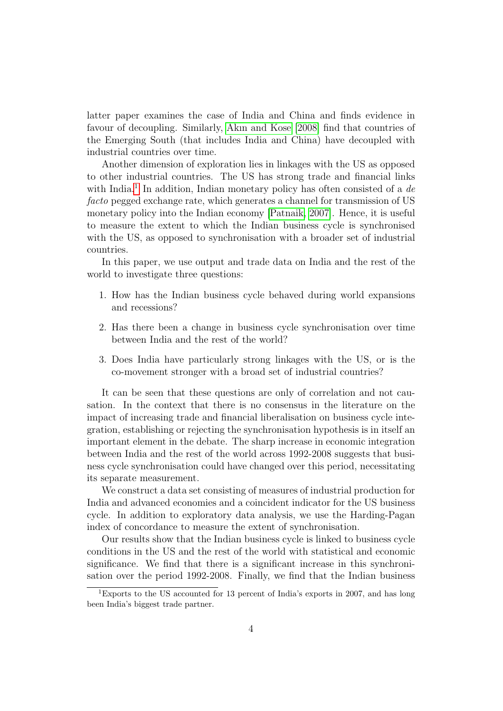latter paper examines the case of India and China and finds evidence in favour of decoupling. Similarly, [Akın and Kose](#page-20-5) [\[2008\]](#page-20-5) find that countries of the Emerging South (that includes India and China) have decoupled with industrial countries over time.

Another dimension of exploration lies in linkages with the US as opposed to other industrial countries. The US has strong trade and financial links with India.<sup>[1](#page-4-0)</sup> In addition, Indian monetary policy has often consisted of a  $de$ facto pegged exchange rate, which generates a channel for transmission of US monetary policy into the Indian economy [\[Patnaik, 2007\]](#page-21-5). Hence, it is useful to measure the extent to which the Indian business cycle is synchronised with the US, as opposed to synchronisation with a broader set of industrial countries.

In this paper, we use output and trade data on India and the rest of the world to investigate three questions:

- 1. How has the Indian business cycle behaved during world expansions and recessions?
- 2. Has there been a change in business cycle synchronisation over time between India and the rest of the world?
- 3. Does India have particularly strong linkages with the US, or is the co-movement stronger with a broad set of industrial countries?

It can be seen that these questions are only of correlation and not causation. In the context that there is no consensus in the literature on the impact of increasing trade and financial liberalisation on business cycle integration, establishing or rejecting the synchronisation hypothesis is in itself an important element in the debate. The sharp increase in economic integration between India and the rest of the world across 1992-2008 suggests that business cycle synchronisation could have changed over this period, necessitating its separate measurement.

We construct a data set consisting of measures of industrial production for India and advanced economies and a coincident indicator for the US business cycle. In addition to exploratory data analysis, we use the Harding-Pagan index of concordance to measure the extent of synchronisation.

Our results show that the Indian business cycle is linked to business cycle conditions in the US and the rest of the world with statistical and economic significance. We find that there is a significant increase in this synchronisation over the period 1992-2008. Finally, we find that the Indian business

<span id="page-4-0"></span><sup>1</sup>Exports to the US accounted for 13 percent of India's exports in 2007, and has long been India's biggest trade partner.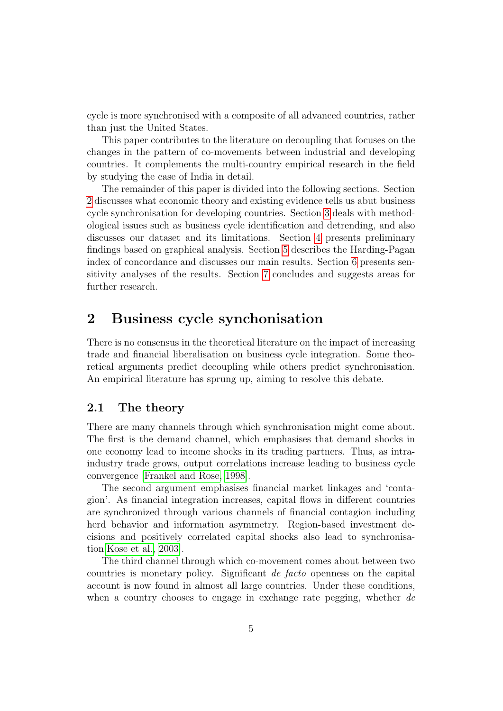cycle is more synchronised with a composite of all advanced countries, rather than just the United States.

This paper contributes to the literature on decoupling that focuses on the changes in the pattern of co-movements between industrial and developing countries. It complements the multi-country empirical research in the field by studying the case of India in detail.

The remainder of this paper is divided into the following sections. Section [2](#page-5-0) discusses what economic theory and existing evidence tells us abut business cycle synchronisation for developing countries. Section [3](#page-7-1) deals with methodological issues such as business cycle identification and detrending, and also discusses our dataset and its limitations. Section [4](#page-9-0) presents preliminary findings based on graphical analysis. Section [5](#page-13-0) describes the Harding-Pagan index of concordance and discusses our main results. Section [6](#page-15-0) presents sensitivity analyses of the results. Section [7](#page-19-0) concludes and suggests areas for further research.

### <span id="page-5-0"></span>2 Business cycle synchonisation

There is no consensus in the theoretical literature on the impact of increasing trade and financial liberalisation on business cycle integration. Some theoretical arguments predict decoupling while others predict synchronisation. An empirical literature has sprung up, aiming to resolve this debate.

### <span id="page-5-1"></span>2.1 The theory

There are many channels through which synchronisation might come about. The first is the demand channel, which emphasises that demand shocks in one economy lead to income shocks in its trading partners. Thus, as intraindustry trade grows, output correlations increase leading to business cycle convergence [\[Frankel and Rose, 1998\]](#page-20-0).

The second argument emphasises financial market linkages and 'contagion'. As financial integration increases, capital flows in different countries are synchronized through various channels of financial contagion including herd behavior and information asymmetry. Region-based investment decisions and positively correlated capital shocks also lead to synchronisation[\[Kose et al., 2003\]](#page-21-1).

The third channel through which co-movement comes about between two countries is monetary policy. Significant de facto openness on the capital account is now found in almost all large countries. Under these conditions, when a country chooses to engage in exchange rate pegging, whether de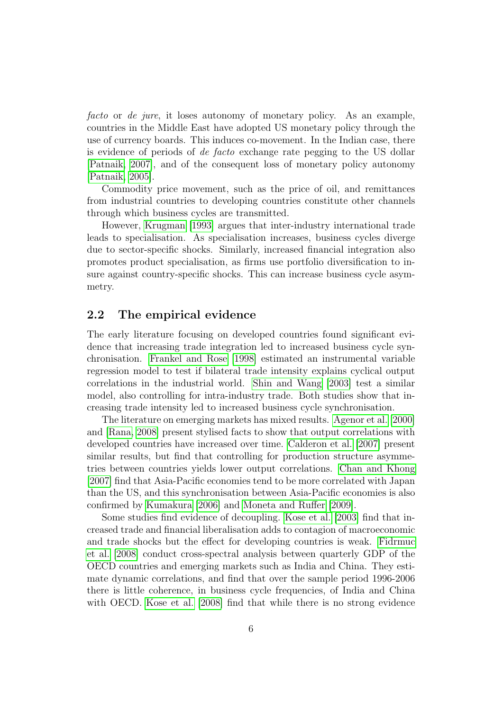facto or de jure, it loses autonomy of monetary policy. As an example, countries in the Middle East have adopted US monetary policy through the use of currency boards. This induces co-movement. In the Indian case, there is evidence of periods of de facto exchange rate pegging to the US dollar [\[Patnaik, 2007\]](#page-21-5), and of the consequent loss of monetary policy autonomy [\[Patnaik, 2005\]](#page-21-6).

Commodity price movement, such as the price of oil, and remittances from industrial countries to developing countries constitute other channels through which business cycles are transmitted.

However, [Krugman](#page-21-4) [\[1993\]](#page-21-4) argues that inter-industry international trade leads to specialisation. As specialisation increases, business cycles diverge due to sector-specific shocks. Similarly, increased financial integration also promotes product specialisation, as firms use portfolio diversification to insure against country-specific shocks. This can increase business cycle asymmetry.

#### <span id="page-6-0"></span>2.2 The empirical evidence

The early literature focusing on developed countries found significant evidence that increasing trade integration led to increased business cycle synchronisation. [Frankel and Rose](#page-20-0) [\[1998\]](#page-20-0) estimated an instrumental variable regression model to test if bilateral trade intensity explains cyclical output correlations in the industrial world. [Shin and Wang](#page-22-0) [\[2003\]](#page-22-0) test a similar model, also controlling for intra-industry trade. Both studies show that increasing trade intensity led to increased business cycle synchronisation.

The literature on emerging markets has mixed results. [Agenor et al.](#page-20-1) [\[2000\]](#page-20-1) and [\[Rana, 2008\]](#page-22-1) present stylised facts to show that output correlations with developed countries have increased over time. [Calderon et al.](#page-20-2) [\[2007\]](#page-20-2) present similar results, but find that controlling for production structure asymmetries between countries yields lower output correlations. [Chan and Khong](#page-20-4) [\[2007\]](#page-20-4) find that Asia-Pacific economies tend to be more correlated with Japan than the US, and this synchronisation between Asia-Pacific economies is also confirmed by [Kumakura](#page-21-7) [\[2006\]](#page-21-7) and [Moneta and Ruffer](#page-21-8) [\[2009\]](#page-21-8).

Some studies find evidence of decoupling. [Kose et al.](#page-21-1) [\[2003\]](#page-21-1) find that increased trade and financial liberalisation adds to contagion of macroeconomic and trade shocks but the effect for developing countries is weak. [Fidrmuc](#page-20-3) [et al.](#page-20-3) [\[2008\]](#page-20-3) conduct cross-spectral analysis between quarterly GDP of the OECD countries and emerging markets such as India and China. They estimate dynamic correlations, and find that over the sample period 1996-2006 there is little coherence, in business cycle frequencies, of India and China with OECD. [Kose et al.](#page-21-2) [\[2008\]](#page-21-2) find that while there is no strong evidence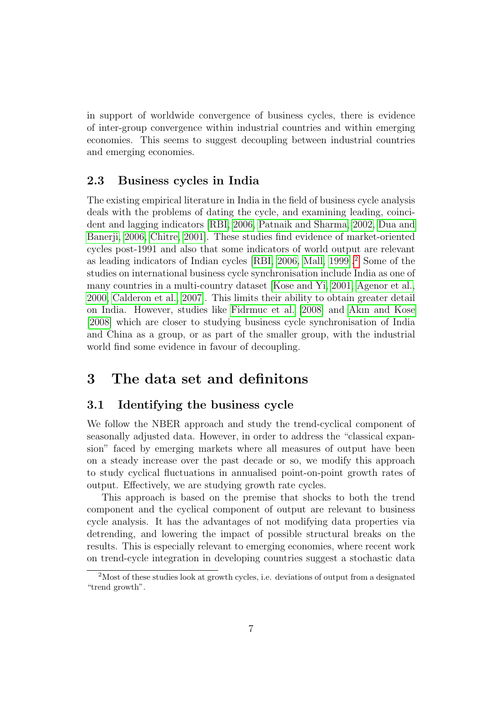in support of worldwide convergence of business cycles, there is evidence of inter-group convergence within industrial countries and within emerging economies. This seems to suggest decoupling between industrial countries and emerging economies.

#### <span id="page-7-0"></span>2.3 Business cycles in India

The existing empirical literature in India in the field of business cycle analysis deals with the problems of dating the cycle, and examining leading, coincident and lagging indicators [\[RBI, 2006,](#page-22-2) [Patnaik and Sharma, 2002,](#page-22-3) [Dua and](#page-20-6) [Banerji, 2006,](#page-20-6) [Chitre, 2001\]](#page-20-7). These studies find evidence of market-oriented cycles post-1991 and also that some indicators of world output are relevant as leading indicators of Indian cycles [\[RBI, 2006,](#page-22-2) [Mall, 1999\]](#page-21-9).[2](#page-7-3) Some of the studies on international business cycle synchronisation include India as one of many countries in a multi-country dataset [\[Kose and Yi, 2001,](#page-21-3) [Agenor et al.,](#page-20-1) [2000,](#page-20-1) [Calderon et al., 2007\]](#page-20-2). This limits their ability to obtain greater detail on India. However, studies like [Fidrmuc et al.](#page-20-3) [\[2008\]](#page-20-3) and [Akın and Kose](#page-20-5) [\[2008\]](#page-20-5) which are closer to studying business cycle synchronisation of India and China as a group, or as part of the smaller group, with the industrial world find some evidence in favour of decoupling.

### <span id="page-7-1"></span>3 The data set and definitons

### <span id="page-7-2"></span>3.1 Identifying the business cycle

We follow the NBER approach and study the trend-cyclical component of seasonally adjusted data. However, in order to address the "classical expansion" faced by emerging markets where all measures of output have been on a steady increase over the past decade or so, we modify this approach to study cyclical fluctuations in annualised point-on-point growth rates of output. Effectively, we are studying growth rate cycles.

This approach is based on the premise that shocks to both the trend component and the cyclical component of output are relevant to business cycle analysis. It has the advantages of not modifying data properties via detrending, and lowering the impact of possible structural breaks on the results. This is especially relevant to emerging economies, where recent work on trend-cycle integration in developing countries suggest a stochastic data

<span id="page-7-3"></span><sup>2</sup>Most of these studies look at growth cycles, i.e. deviations of output from a designated "trend growth".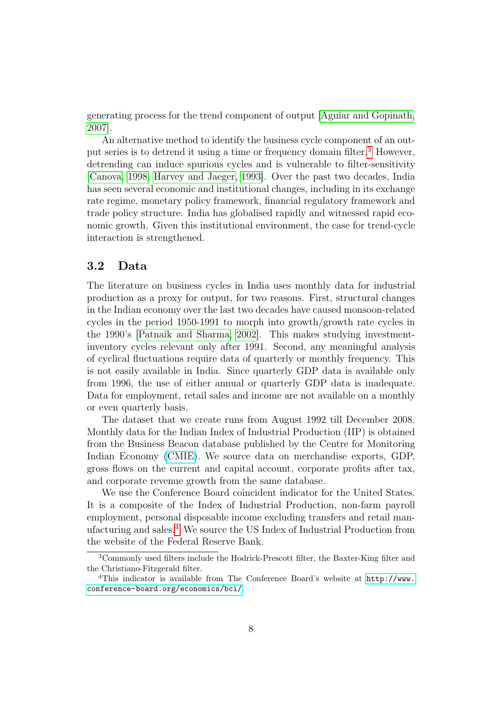generating process for the trend component of output [\[Aguiar and Gopinath,](#page-20-8) [2007\]](#page-20-8).

An alternative method to identify the business cycle component of an output series is to detrend it using a time or frequency domain filter.[3](#page-8-1) However, detrending can induce spurious cycles and is vulnerable to filter-sensitivity [\[Canova, 1998,](#page-20-9) [Harvey and Jaeger, 1993\]](#page-21-10). Over the past two decades, India has seen several economic and institutional changes, including in its exchange rate regime, monetary policy framework, financial regulatory framework and trade policy structure. India has globalised rapidly and witnessed rapid economic growth. Given this institutional environment, the case for trend-cycle interaction is strengthened.

### <span id="page-8-0"></span>3.2 Data

The literature on business cycles in India uses monthly data for industrial production as a proxy for output, for two reasons. First, structural changes in the Indian economy over the last two decades have caused monsoon-related cycles in the period 1950-1991 to morph into growth/growth rate cycles in the 1990's [\[Patnaik and Sharma, 2002\]](#page-22-3). This makes studying investmentinventory cycles relevant only after 1991. Second, any meaningful analysis of cyclical fluctuations require data of quarterly or monthly frequency. This is not easily available in India. Since quarterly GDP data is available only from 1996, the use of either annual or quarterly GDP data is inadequate. Data for employment, retail sales and income are not available on a monthly or even quarterly basis.

The dataset that we create runs from August 1992 till December 2008. Monthly data for the Indian Index of Industrial Production (IIP) is obtained from the Business Beacon database published by the Centre for Monitoring Indian Economy [\(CMIE\)](http://www.cmie.com). We source data on merchandise exports, GDP, gross flows on the current and capital account, corporate profits after tax, and corporate revenue growth from the same database.

We use the Conference Board coincident indicator for the United States. It is a composite of the Index of Industrial Production, non-farm payroll employment, personal disposable income excluding transfers and retail manufacturing and sales.[4](#page-8-2) We source the US Index of Industrial Production from the website of the Federal Reserve Bank.

<span id="page-8-1"></span><sup>3</sup>Commonly used filters include the Hodrick-Prescott filter, the Baxter-King filter and the Christiano-Fitzgerald filter.

<span id="page-8-2"></span><sup>4</sup>This indicator is available from The Conference Board's website at [http://www.](http://www.conference-board.org/economics/bci/) [conference-board.org/economics/bci/](http://www.conference-board.org/economics/bci/).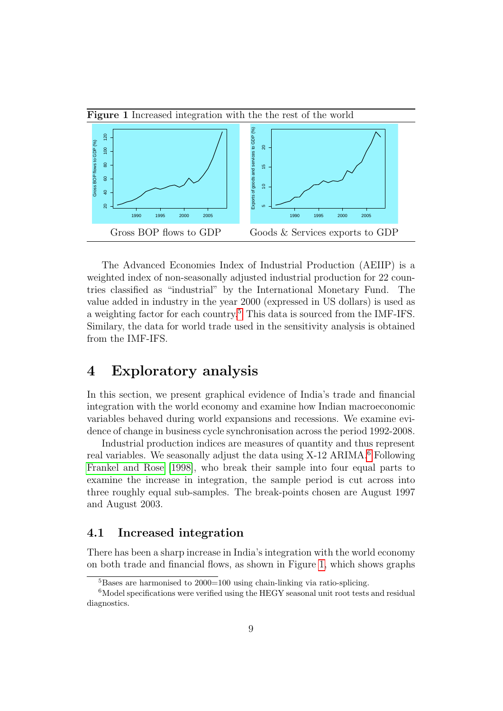<span id="page-9-4"></span>

The Advanced Economies Index of Industrial Production (AEIIP) is a weighted index of non-seasonally adjusted industrial production for 22 countries classified as "industrial" by the International Monetary Fund. The value added in industry in the year 2000 (expressed in US dollars) is used as a weighting factor for each country.[5](#page-9-2) This data is sourced from the IMF-IFS. Similary, the data for world trade used in the sensitivity analysis is obtained from the IMF-IFS.

### <span id="page-9-0"></span>4 Exploratory analysis

In this section, we present graphical evidence of India's trade and financial integration with the world economy and examine how Indian macroeconomic variables behaved during world expansions and recessions. We examine evidence of change in business cycle synchronisation across the period 1992-2008.

Industrial production indices are measures of quantity and thus represent real variables. We seasonally adjust the data using X-12 ARIMA.<sup>[6](#page-9-3)</sup> Following [Frankel and Rose](#page-20-0) [\[1998\]](#page-20-0), who break their sample into four equal parts to examine the increase in integration, the sample period is cut across into three roughly equal sub-samples. The break-points chosen are August 1997 and August 2003.

### <span id="page-9-1"></span>4.1 Increased integration

There has been a sharp increase in India's integration with the world economy on both trade and financial flows, as shown in Figure [1,](#page-9-4) which shows graphs

<span id="page-9-3"></span><span id="page-9-2"></span> ${}^{5}$ Bases are harmonised to 2000=100 using chain-linking via ratio-splicing.

<sup>&</sup>lt;sup>6</sup>Model specifications were verified using the HEGY seasonal unit root tests and residual diagnostics.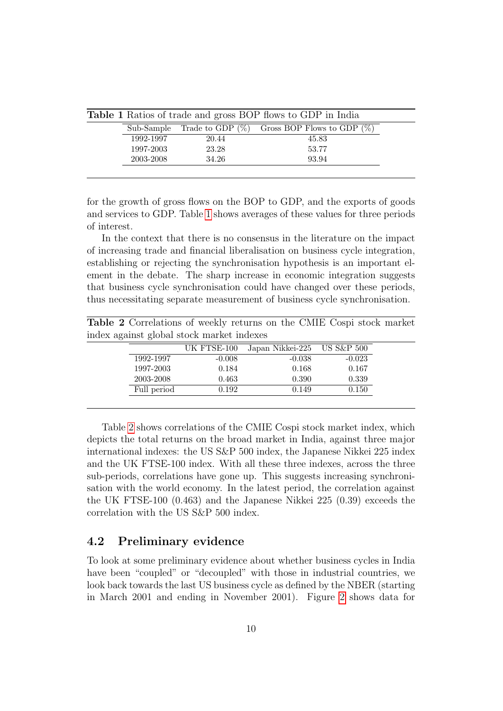<span id="page-10-1"></span>Table 1 Ratios of trade and gross BOP flows to GDP in India Sub-Sample Trade to GDP (%) Gross BOP Flows to GDP (%) 1992-1997 20.44 45.83 1997-2003 23.28 53.77 2003-2008 34.26 93.94

for the growth of gross flows on the BOP to GDP, and the exports of goods and services to GDP. Table [1](#page-10-1) shows averages of these values for three periods of interest.

In the context that there is no consensus in the literature on the impact of increasing trade and financial liberalisation on business cycle integration, establishing or rejecting the synchronisation hypothesis is an important element in the debate. The sharp increase in economic integration suggests that business cycle synchronisation could have changed over these periods, thus necessitating separate measurement of business cycle synchronisation.

<span id="page-10-2"></span>Table 2 Correlations of weekly returns on the CMIE Cospi stock market index against global stock market indexes

|             | UK FTSE-100 | Japan Nikkei-225 | US S&P 500 |
|-------------|-------------|------------------|------------|
| 1992-1997   | $-0.008$    | $-0.038$         | $-0.023$   |
| 1997-2003   | 0.184       | 0.168            | 0.167      |
| 2003-2008   | 0.463       | 0.390            | 0.339      |
| Full period | 0.192       | 0.149            | 0.150      |
|             |             |                  |            |

Table [2](#page-10-2) shows correlations of the CMIE Cospi stock market index, which depicts the total returns on the broad market in India, against three major international indexes: the US S&P 500 index, the Japanese Nikkei 225 index and the UK FTSE-100 index. With all these three indexes, across the three sub-periods, correlations have gone up. This suggests increasing synchronisation with the world economy. In the latest period, the correlation against the UK FTSE-100 (0.463) and the Japanese Nikkei 225 (0.39) exceeds the correlation with the US S&P 500 index.

#### <span id="page-10-0"></span>4.2 Preliminary evidence

To look at some preliminary evidence about whether business cycles in India have been "coupled" or "decoupled" with those in industrial countries, we look back towards the last US business cycle as defined by the NBER (starting in March 2001 and ending in November 2001). Figure [2](#page-11-0) shows data for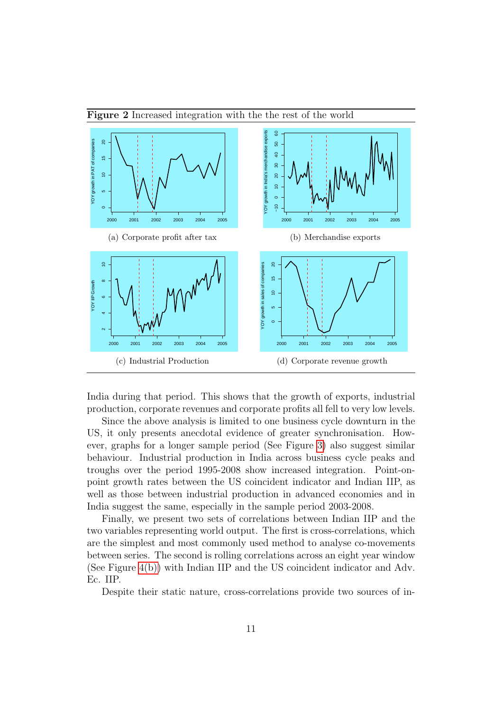

<span id="page-11-0"></span>Figure 2 Increased integration with the the rest of the world

India during that period. This shows that the growth of exports, industrial production, corporate revenues and corporate profits all fell to very low levels.

Since the above analysis is limited to one business cycle downturn in the US, it only presents anecdotal evidence of greater synchronisation. However, graphs for a longer sample period (See Figure [3\)](#page-12-0) also suggest similar behaviour. Industrial production in India across business cycle peaks and troughs over the period 1995-2008 show increased integration. Point-onpoint growth rates between the US coincident indicator and Indian IIP, as well as those between industrial production in advanced economies and in India suggest the same, especially in the sample period 2003-2008.

Finally, we present two sets of correlations between Indian IIP and the two variables representing world output. The first is cross-correlations, which are the simplest and most commonly used method to analyse co-movements between series. The second is rolling correlations across an eight year window (See Figure [4\(b\)\)](#page-12-1) with Indian IIP and the US coincident indicator and Adv. Ec. IIP.

Despite their static nature, cross-correlations provide two sources of in-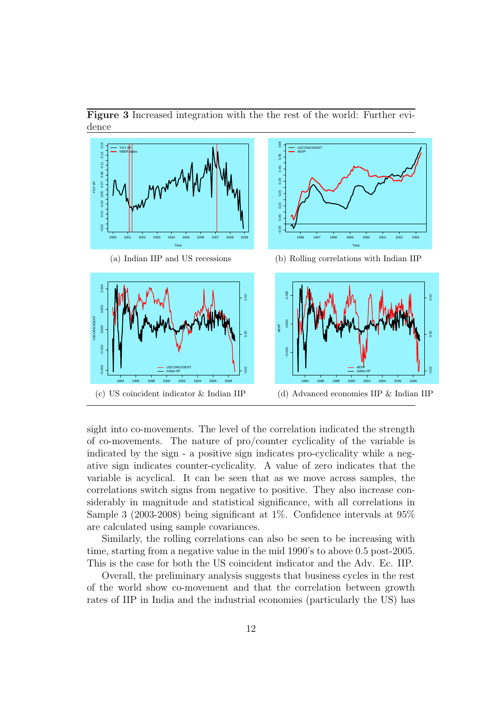<span id="page-12-1"></span>

<span id="page-12-0"></span>Figure 3 Increased integration with the the rest of the world: Further evidence

sight into co-movements. The level of the correlation indicated the strength of co-movements. The nature of pro/counter cyclicality of the variable is indicated by the sign - a positive sign indicates pro-cyclicality while a negative sign indicates counter-cyclicality. A value of zero indicates that the variable is acyclical. It can be seen that as we move across samples, the correlations switch signs from negative to positive. They also increase considerably in magnitude and statistical significance, with all correlations in Sample 3 (2003-2008) being significant at 1%. Confidence intervals at 95% are calculated using sample covariances.

Similarly, the rolling correlations can also be seen to be increasing with time, starting from a negative value in the mid 1990's to above 0.5 post-2005. This is the case for both the US coincident indicator and the Adv. Ec. IIP.

Overall, the preliminary analysis suggests that business cycles in the rest of the world show co-movement and that the correlation between growth rates of IIP in India and the industrial economies (particularly the US) has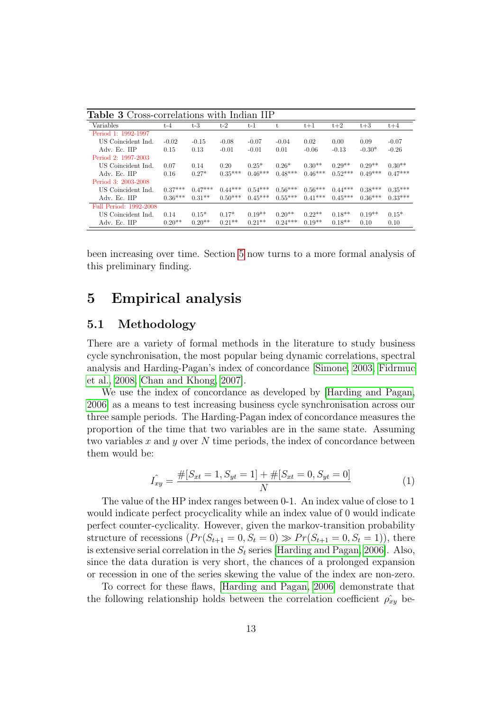| <b>Table 3</b> Cross-correlations with Indian IIP |           |           |           |           |           |           |           |           |           |
|---------------------------------------------------|-----------|-----------|-----------|-----------|-----------|-----------|-----------|-----------|-----------|
| Variables                                         | $t-4$     | $t-3$     | $t-2$     | $t-1$     | t.        | $t+1$     | $t+2$     | $t+3$     | $t+4$     |
| Period 1: 1992-1997                               |           |           |           |           |           |           |           |           |           |
| US Coincident Ind.                                | $-0.02$   | $-0.15$   | $-0.08$   | $-0.07$   | $-0.04$   | 0.02      | 0.00      | 0.09      | $-0.07$   |
| Adv. Ec. IIP                                      | 0.15      | 0.13      | $-0.01$   | $-0.01$   | 0.01      | $-0.06$   | $-0.13$   | $-0.30*$  | $-0.26$   |
| Period 2: 1997-2003                               |           |           |           |           |           |           |           |           |           |
| US Coincident Ind.                                | 0.07      | 0.14      | 0.20      | $0.25*$   | $0.26*$   | $0.30**$  | $0.29**$  | $0.29**$  | $0.30**$  |
| Adv. Ec. IIP                                      | 0.16      | $0.27*$   | $0.35***$ | $0.46***$ | $0.48***$ | $0.46***$ | $0.52***$ | $0.49***$ | $0.47***$ |
| Period 3: 2003-2008                               |           |           |           |           |           |           |           |           |           |
| US Coincident Ind.                                | $0.37***$ | $0.47***$ | $0.44***$ | $0.54***$ | $0.56***$ | $0.56***$ | $0.44***$ | $0.38***$ | $0.35***$ |
| Adv. Ec. IIP                                      | $0.36***$ | $0.31**$  | $0.50***$ | $0.45***$ | $0.55***$ | $0.41***$ | $0.45***$ | $0.36***$ | $0.33***$ |
| Full Period: 1992-2008                            |           |           |           |           |           |           |           |           |           |
| US Coincident Ind.                                | 0.14      | $0.15*$   | $0.17*$   | $0.19**$  | $0.20**$  | $0.22**$  | $0.18**$  | $0.19**$  | $0.15*$   |
| Adv. Ec. IIP                                      | $0.20**$  | $0.20**$  | $0.21**$  | $0.21**$  | $0.24***$ | $0.19**$  | $0.18**$  | 0.10      | 0.10      |

been increasing over time. Section [5](#page-13-0) now turns to a more formal analysis of this preliminary finding.

### <span id="page-13-0"></span>5 Empirical analysis

### <span id="page-13-1"></span>5.1 Methodology

There are a variety of formal methods in the literature to study business cycle synchronisation, the most popular being dynamic correlations, spectral analysis and Harding-Pagan's index of concordance [\[Simone, 2003,](#page-22-4) [Fidrmuc](#page-20-3) [et al., 2008,](#page-20-3) [Chan and Khong, 2007\]](#page-20-4).

We use the index of concordance as developed by [\[Harding and Pagan,](#page-21-11) [2006\]](#page-21-11) as a means to test increasing business cycle synchronisation across our three sample periods. The Harding-Pagan index of concordance measures the proportion of the time that two variables are in the same state. Assuming two variables x and y over  $N$  time periods, the index of concordance between them would be:

$$
\hat{I_{xy}} = \frac{\#[S_{xt} = 1, S_{yt} = 1] + \#[S_{xt} = 0, S_{yt} = 0]}{N}
$$
\n(1)

The value of the HP index ranges between 0-1. An index value of close to 1 would indicate perfect procyclicality while an index value of 0 would indicate perfect counter-cyclicality. However, given the markov-transition probability structure of recessions  $(Pr(S_{t+1} = 0, S_t = 0) \gg Pr(S_{t+1} = 0, S_t = 1))$ , there is extensive serial correlation in the  $S_t$  series [\[Harding and Pagan, 2006\]](#page-21-11). Also, since the data duration is very short, the chances of a prolonged expansion or recession in one of the series skewing the value of the index are non-zero.

To correct for these flaws, [\[Harding and Pagan, 2006\]](#page-21-11) demonstrate that the following relationship holds between the correlation coefficient  $\rho_{xy}$  be-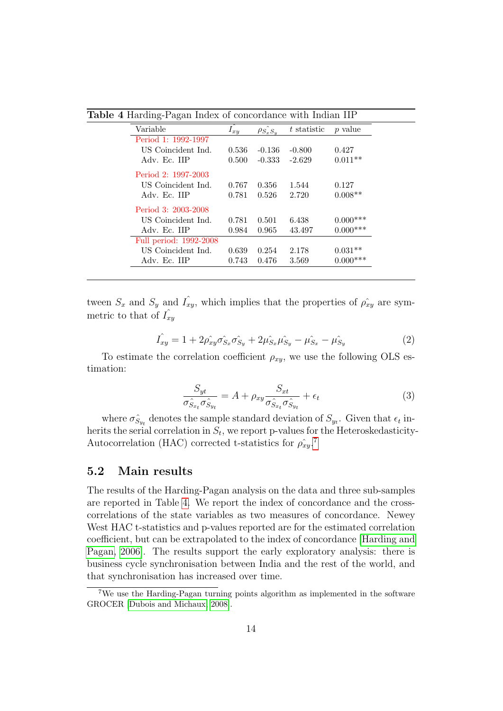<span id="page-14-2"></span>Table 4 Harding-Pagan Index of concordance with Indian IIP

| Variable               | $\hat{I_{xy}}$ | $\rho_{S_xS_y}$ | t statistic | p value    |
|------------------------|----------------|-----------------|-------------|------------|
| Period 1: 1992-1997    |                |                 |             |            |
| US Coincident Ind.     | 0.536          | $-0.136$        | $-0.800$    | 0.427      |
| Adv. Ec. IIP           | 0.500          | $-0.333$        | $-2.629$    | $0.011**$  |
| Period 2: 1997-2003    |                |                 |             |            |
| US Coincident Ind.     | 0.767          | 0.356           | 1.544       | 0.127      |
| Adv. Ec. IIP           | 0.781          | 0.526           | 2.720       | $0.008**$  |
| Period 3: 2003-2008    |                |                 |             |            |
| US Coincident Ind.     | 0.781          | 0.501           | 6.438       | $0.000***$ |
| Adv. Ec. IIP           | 0.984          | 0.965           | 43.497      | $0.000***$ |
| Full period: 1992-2008 |                |                 |             |            |
| US Coincident Ind.     | 0.639          | 0.254           | 2.178       | $0.031**$  |
| Adv. Ec. IIP           | 0.743          | 0.476           | 3.569       | $0.000***$ |

tween  $S_x$  and  $S_y$  and  $\hat{I_{xy}}$ , which implies that the properties of  $\rho_{xy}$  are symmetric to that of  $I_{xy}$ 

$$
\hat{I_{xy}} = 1 + 2\hat{\rho_{xy}}\hat{\sigma_{S_x}}\hat{\sigma_{S_y}} + 2\hat{\mu_{S_x}}\hat{\mu_{S_y}} - \hat{\mu_{S_x}} - \hat{\mu_{S_y}}
$$
(2)

To estimate the correlation coefficient  $\rho_{xy}$ , we use the following OLS estimation:

$$
\frac{S_{yt}}{\sigma \hat{S}_{x_t} \sigma \hat{S}_{y_t}} = A + \rho_{xy} \frac{S_{xt}}{\sigma \hat{S}_{x_t} \sigma \hat{S}_{y_t}} + \epsilon_t
$$
\n(3)

where  $\sigma_{S_{y_t}}^{\gamma}$  denotes the sample standard deviation of  $S_{y_t}$ . Given that  $\epsilon_t$  inherits the serial correlation in  $S_t$ , we report p-values for the Heteroskedasticity-Autocorrelation (HAC) corrected t-statistics for  $\rho_{xy}^{\hat{}}$ .

### <span id="page-14-0"></span>5.2 Main results

The results of the Harding-Pagan analysis on the data and three sub-samples are reported in Table [4.](#page-14-2) We report the index of concordance and the crosscorrelations of the state variables as two measures of concordance. Newey West HAC t-statistics and p-values reported are for the estimated correlation coefficient, but can be extrapolated to the index of concordance [\[Harding and](#page-21-11) [Pagan, 2006\]](#page-21-11). The results support the early exploratory analysis: there is business cycle synchronisation between India and the rest of the world, and that synchronisation has increased over time.

<span id="page-14-1"></span><sup>7</sup>We use the Harding-Pagan turning points algorithm as implemented in the software GROCER [\[Dubois and Michaux, 2008\]](#page-20-10).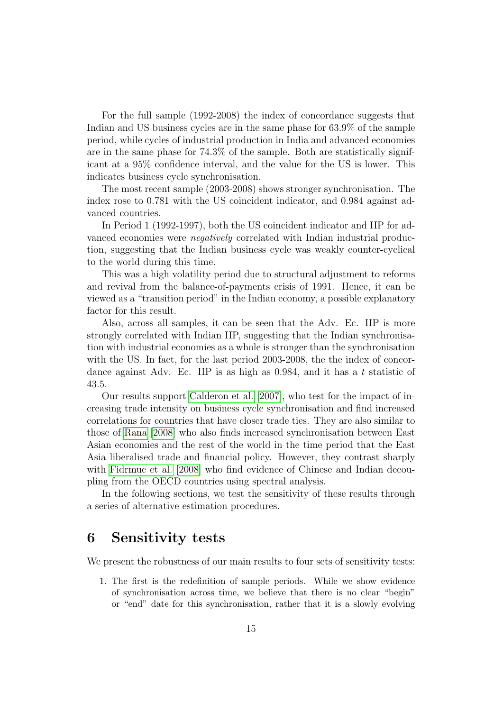For the full sample (1992-2008) the index of concordance suggests that Indian and US business cycles are in the same phase for 63.9% of the sample period, while cycles of industrial production in India and advanced economies are in the same phase for 74.3% of the sample. Both are statistically significant at a 95% confidence interval, and the value for the US is lower. This indicates business cycle synchronisation.

The most recent sample (2003-2008) shows stronger synchronisation. The index rose to 0.781 with the US coincident indicator, and 0.984 against advanced countries.

In Period 1 (1992-1997), both the US coincident indicator and IIP for advanced economies were negatively correlated with Indian industrial production, suggesting that the Indian business cycle was weakly counter-cyclical to the world during this time.

This was a high volatility period due to structural adjustment to reforms and revival from the balance-of-payments crisis of 1991. Hence, it can be viewed as a "transition period" in the Indian economy, a possible explanatory factor for this result.

Also, across all samples, it can be seen that the Adv. Ec. IIP is more strongly correlated with Indian IIP, suggesting that the Indian synchronisation with industrial economies as a whole is stronger than the synchronisation with the US. In fact, for the last period 2003-2008, the the index of concordance against Adv. Ec. IIP is as high as 0.984, and it has a t statistic of 43.5.

Our results support [Calderon et al.](#page-20-2) [\[2007\]](#page-20-2), who test for the impact of increasing trade intensity on business cycle synchronisation and find increased correlations for countries that have closer trade ties. They are also similar to those of [Rana](#page-22-1) [\[2008\]](#page-22-1) who also finds increased synchronisation between East Asian economies and the rest of the world in the time period that the East Asia liberalised trade and financial policy. However, they contrast sharply with [Fidrmuc et al.](#page-20-3) [\[2008\]](#page-20-3) who find evidence of Chinese and Indian decoupling from the OECD countries using spectral analysis.

In the following sections, we test the sensitivity of these results through a series of alternative estimation procedures.

### <span id="page-15-0"></span>6 Sensitivity tests

We present the robustness of our main results to four sets of sensitivity tests:

1. The first is the redefinition of sample periods. While we show evidence of synchronisation across time, we believe that there is no clear "begin" or "end" date for this synchronisation, rather that it is a slowly evolving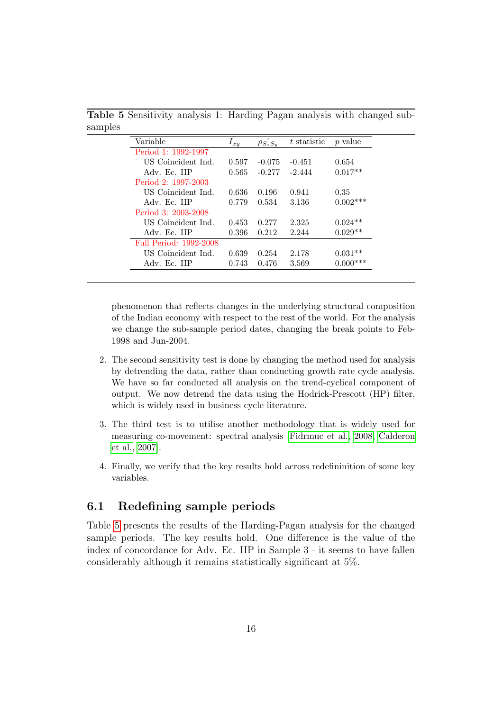| Variable               | $I_{xy}$ | $\rho_{S_xS_y}$ | t statistic | p value    |
|------------------------|----------|-----------------|-------------|------------|
| Period 1: 1992-1997    |          |                 |             |            |
| US Coincident Ind.     | 0.597    | $-0.075$        | $-0.451$    | 0.654      |
| Adv. Ec. IIP           | 0.565    | $-0.277$        | $-2.444$    | $0.017**$  |
| Period 2: 1997-2003    |          |                 |             |            |
| US Coincident Ind.     | 0.636    | 0.196           | 0.941       | 0.35       |
| Adv. Ec. IIP           | 0.779    | 0.534           | 3.136       | $0.002***$ |
| Period 3: 2003-2008    |          |                 |             |            |
| US Coincident Ind.     | 0.453    | 0.277           | 2.325       | $0.024**$  |
| Adv. Ec. IIP           | 0.396    | 0.212           | 2.244       | $0.029**$  |
| Full Period: 1992-2008 |          |                 |             |            |
| US Coincident Ind.     | 0.639    | 0.254           | 2.178       | $0.031**$  |
| Adv. Ec. IIP           | 0.743    | 0.476           | 3.569       | $0.000***$ |
|                        |          |                 |             |            |

<span id="page-16-1"></span>Table 5 Sensitivity analysis 1: Harding Pagan analysis with changed subsamples

phenomenon that reflects changes in the underlying structural composition of the Indian economy with respect to the rest of the world. For the analysis we change the sub-sample period dates, changing the break points to Feb-1998 and Jun-2004.

- 2. The second sensitivity test is done by changing the method used for analysis by detrending the data, rather than conducting growth rate cycle analysis. We have so far conducted all analysis on the trend-cyclical component of output. We now detrend the data using the Hodrick-Prescott (HP) filter, which is widely used in business cycle literature.
- 3. The third test is to utilise another methodology that is widely used for measuring co-movement: spectral analysis [\[Fidrmuc et al., 2008,](#page-20-3) [Calderon](#page-20-2) [et al., 2007\]](#page-20-2).
- 4. Finally, we verify that the key results hold across redefininition of some key variables.

#### <span id="page-16-0"></span>6.1 Redefining sample periods

Table [5](#page-16-1) presents the results of the Harding-Pagan analysis for the changed sample periods. The key results hold. One difference is the value of the index of concordance for Adv. Ec. IIP in Sample 3 - it seems to have fallen considerably although it remains statistically significant at 5%.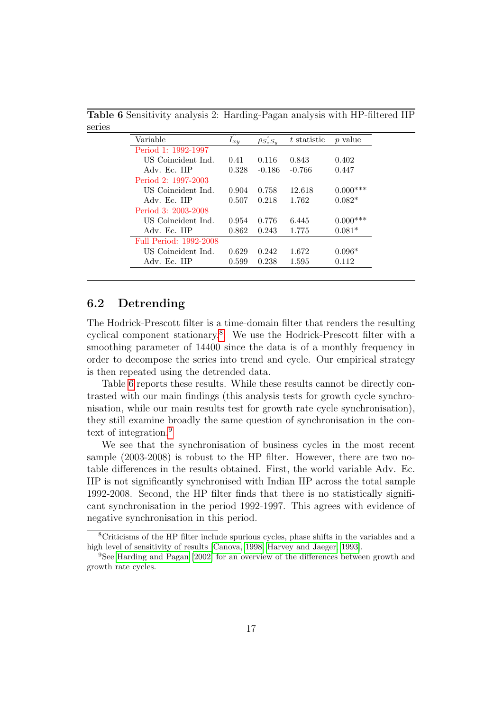| Variable               | ᅐ<br>$I_{xy}$ | $\rho_{S_xS_y}$ | t statistic | $p$ value  |
|------------------------|---------------|-----------------|-------------|------------|
| Period 1: 1992-1997    |               |                 |             |            |
| US Coincident Ind.     | 0.41          | 0.116           | 0.843       | 0.402      |
| Adv. Ec. IIP           | 0.328         | $-0.186$        | $-0.766$    | 0.447      |
| Period 2: 1997-2003    |               |                 |             |            |
| US Coincident Ind.     | 0.904         | 0.758           | 12.618      | $0.000***$ |
| Adv. Ec. IIP           | 0.507         | 0.218           | 1.762       | $0.082*$   |
| Period 3: 2003-2008    |               |                 |             |            |
| US Coincident Ind.     | 0.954         | 0.776           | 6.445       | $0.000***$ |
| Adv. Ec. IIP           | 0.862         | 0.243           | 1.775       | $0.081*$   |
| Full Period: 1992-2008 |               |                 |             |            |
| US Coincident Ind.     | 0.629         | 0.242           | 1.672       | $0.096*$   |
| Adv. Ec. IIP           | 0.599         | 0.238           | 1.595       | 0.112      |
|                        |               |                 |             |            |

<span id="page-17-2"></span>Table 6 Sensitivity analysis 2: Harding-Pagan analysis with HP-filtered IIP series

### <span id="page-17-0"></span>6.2 Detrending

The Hodrick-Prescott filter is a time-domain filter that renders the resulting cyclical component stationary.<sup>[8](#page-17-1)</sup>. We use the Hodrick-Prescott filter with a smoothing parameter of 14400 since the data is of a monthly frequency in order to decompose the series into trend and cycle. Our empirical strategy is then repeated using the detrended data.

Table [6](#page-17-2) reports these results. While these results cannot be directly contrasted with our main findings (this analysis tests for growth cycle synchronisation, while our main results test for growth rate cycle synchronisation), they still examine broadly the same question of synchronisation in the con-text of integration.<sup>[9](#page-17-3)</sup>

We see that the synchronisation of business cycles in the most recent sample (2003-2008) is robust to the HP filter. However, there are two notable differences in the results obtained. First, the world variable Adv. Ec. IIP is not significantly synchronised with Indian IIP across the total sample 1992-2008. Second, the HP filter finds that there is no statistically significant synchronisation in the period 1992-1997. This agrees with evidence of negative synchronisation in this period.

<span id="page-17-1"></span><sup>8</sup>Criticisms of the HP filter include spurious cycles, phase shifts in the variables and a high level of sensitivity of results [\[Canova, 1998,](#page-20-9) [Harvey and Jaeger, 1993\]](#page-21-10).

<span id="page-17-3"></span><sup>9</sup>See [Harding and Pagan](#page-21-12) [\[2002\]](#page-21-12) for an overview of the differences between growth and growth rate cycles.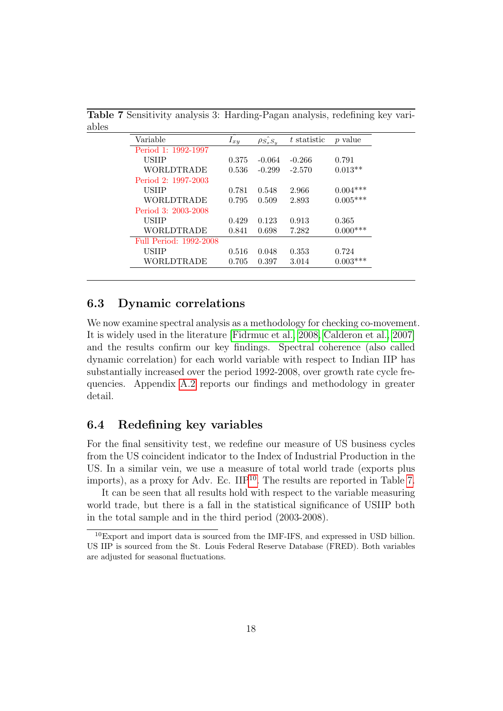| Variable               | $I_{xy}$ | $\rho \hat{S_x} S_y$ | t statistic | $p$ value  |
|------------------------|----------|----------------------|-------------|------------|
| Period 1: 1992-1997    |          |                      |             |            |
| <b>USHP</b>            | 0.375    | $-0.064$             | $-0.266$    | 0.791      |
| <b>WORLDTRADE</b>      | 0.536    | $-0.299$             | $-2.570$    | $0.013**$  |
| Period 2: 1997-2003    |          |                      |             |            |
| <b>USHP</b>            | 0.781    | 0.548                | 2.966       | $0.004***$ |
| WORLDTRADE             | 0.795    | 0.509                | 2.893       | $0.005***$ |
| Period 3: 2003-2008    |          |                      |             |            |
| <b>USHP</b>            | 0.429    | 0.123                | 0.913       | 0.365      |
| WORLDTRADE             | 0.841    | 0.698                | 7.282       | $0.000***$ |
| Full Period: 1992-2008 |          |                      |             |            |
| <b>USHP</b>            | 0.516    | 0.048                | 0.353       | 0.724      |
| WORLDTRADE             | 0.705    | 0.397                | 3.014       | $0.003***$ |
|                        |          |                      |             |            |

<span id="page-18-3"></span>Table 7 Sensitivity analysis 3: Harding-Pagan analysis, redefining key variables

### <span id="page-18-0"></span>6.3 Dynamic correlations

We now examine spectral analysis as a methodology for checking co-movement. It is widely used in the literature [\[Fidrmuc et al., 2008,](#page-20-3) [Calderon et al., 2007\]](#page-20-2) and the results confirm our key findings. Spectral coherence (also called dynamic correlation) for each world variable with respect to Indian IIP has substantially increased over the period 1992-2008, over growth rate cycle frequencies. Appendix [A.2](#page-24-0) reports our findings and methodology in greater detail.

#### <span id="page-18-1"></span>6.4 Redefining key variables

For the final sensitivity test, we redefine our measure of US business cycles from the US coincident indicator to the Index of Industrial Production in the US. In a similar vein, we use a measure of total world trade (exports plus imports), as a proxy for Adv. Ec.  $\text{HP}^{10}$  $\text{HP}^{10}$  $\text{HP}^{10}$ . The results are reported in Table [7.](#page-18-3)

It can be seen that all results hold with respect to the variable measuring world trade, but there is a fall in the statistical significance of USIIP both in the total sample and in the third period (2003-2008).

<span id="page-18-2"></span><sup>10</sup>Export and import data is sourced from the IMF-IFS, and expressed in USD billion. US IIP is sourced from the St. Louis Federal Reserve Database (FRED). Both variables are adjusted for seasonal fluctuations.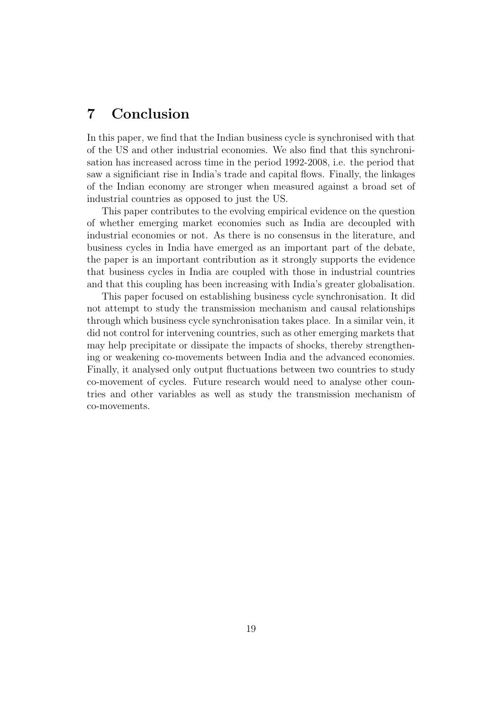## <span id="page-19-0"></span>7 Conclusion

In this paper, we find that the Indian business cycle is synchronised with that of the US and other industrial economies. We also find that this synchronisation has increased across time in the period 1992-2008, i.e. the period that saw a significiant rise in India's trade and capital flows. Finally, the linkages of the Indian economy are stronger when measured against a broad set of industrial countries as opposed to just the US.

This paper contributes to the evolving empirical evidence on the question of whether emerging market economies such as India are decoupled with industrial economies or not. As there is no consensus in the literature, and business cycles in India have emerged as an important part of the debate, the paper is an important contribution as it strongly supports the evidence that business cycles in India are coupled with those in industrial countries and that this coupling has been increasing with India's greater globalisation.

This paper focused on establishing business cycle synchronisation. It did not attempt to study the transmission mechanism and causal relationships through which business cycle synchronisation takes place. In a similar vein, it did not control for intervening countries, such as other emerging markets that may help precipitate or dissipate the impacts of shocks, thereby strengthening or weakening co-movements between India and the advanced economies. Finally, it analysed only output fluctuations between two countries to study co-movement of cycles. Future research would need to analyse other countries and other variables as well as study the transmission mechanism of co-movements.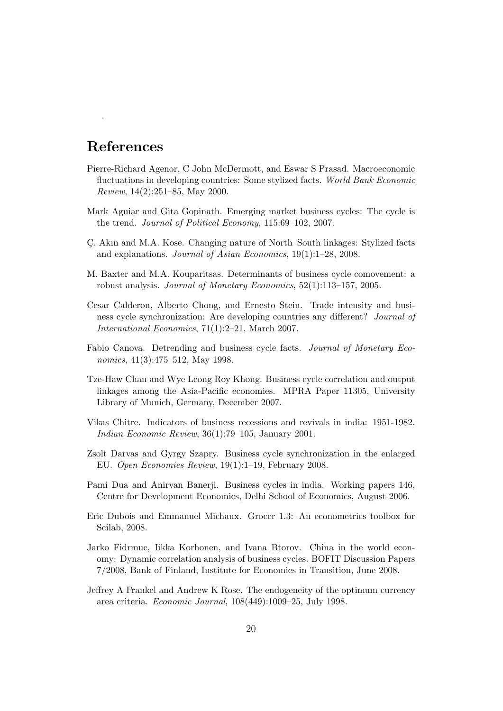## References

.

- <span id="page-20-1"></span>Pierre-Richard Agenor, C John McDermott, and Eswar S Prasad. Macroeconomic fluctuations in developing countries: Some stylized facts. World Bank Economic Review, 14(2):251–85, May 2000.
- <span id="page-20-8"></span>Mark Aguiar and Gita Gopinath. Emerging market business cycles: The cycle is the trend. Journal of Political Economy, 115:69–102, 2007.
- <span id="page-20-5"></span>C¸ . Akın and M.A. Kose. Changing nature of North–South linkages: Stylized facts and explanations. Journal of Asian Economics, 19(1):1–28, 2008.
- M. Baxter and M.A. Kouparitsas. Determinants of business cycle comovement: a robust analysis. Journal of Monetary Economics, 52(1):113–157, 2005.
- <span id="page-20-2"></span>Cesar Calderon, Alberto Chong, and Ernesto Stein. Trade intensity and business cycle synchronization: Are developing countries any different? Journal of International Economics, 71(1):2–21, March 2007.
- <span id="page-20-9"></span>Fabio Canova. Detrending and business cycle facts. Journal of Monetary Economics, 41(3):475–512, May 1998.
- <span id="page-20-4"></span>Tze-Haw Chan and Wye Leong Roy Khong. Business cycle correlation and output linkages among the Asia-Pacific economies. MPRA Paper 11305, University Library of Munich, Germany, December 2007.
- <span id="page-20-7"></span>Vikas Chitre. Indicators of business recessions and revivals in india: 1951-1982. Indian Economic Review, 36(1):79–105, January 2001.
- Zsolt Darvas and Gyrgy Szapry. Business cycle synchronization in the enlarged EU. Open Economies Review, 19(1):1–19, February 2008.
- <span id="page-20-6"></span>Pami Dua and Anirvan Banerji. Business cycles in india. Working papers 146, Centre for Development Economics, Delhi School of Economics, August 2006.
- <span id="page-20-10"></span>Eric Dubois and Emmanuel Michaux. Grocer 1.3: An econometrics toolbox for Scilab, 2008.
- <span id="page-20-3"></span>Jarko Fidrmuc, Iikka Korhonen, and Ivana Btorov. China in the world economy: Dynamic correlation analysis of business cycles. BOFIT Discussion Papers 7/2008, Bank of Finland, Institute for Economies in Transition, June 2008.
- <span id="page-20-0"></span>Jeffrey A Frankel and Andrew K Rose. The endogeneity of the optimum currency area criteria. Economic Journal, 108(449):1009–25, July 1998.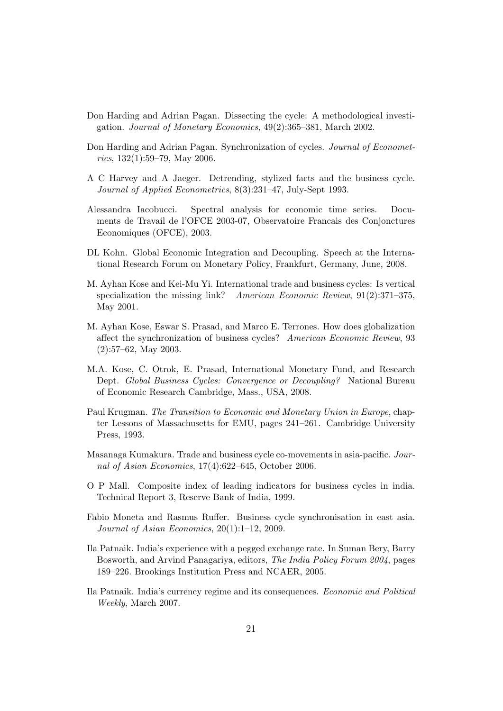- <span id="page-21-12"></span>Don Harding and Adrian Pagan. Dissecting the cycle: A methodological investigation. Journal of Monetary Economics, 49(2):365–381, March 2002.
- <span id="page-21-11"></span>Don Harding and Adrian Pagan. Synchronization of cycles. Journal of Econometrics,  $132(1):59-79$ , May 2006.
- <span id="page-21-10"></span>A C Harvey and A Jaeger. Detrending, stylized facts and the business cycle. Journal of Applied Econometrics, 8(3):231–47, July-Sept 1993.
- <span id="page-21-13"></span>Alessandra Iacobucci. Spectral analysis for economic time series. Documents de Travail de l'OFCE 2003-07, Observatoire Francais des Conjonctures Economiques (OFCE), 2003.
- <span id="page-21-0"></span>DL Kohn. Global Economic Integration and Decoupling. Speech at the International Research Forum on Monetary Policy, Frankfurt, Germany, June, 2008.
- <span id="page-21-3"></span>M. Ayhan Kose and Kei-Mu Yi. International trade and business cycles: Is vertical specialization the missing link? American Economic Review, 91(2):371–375, May 2001.
- <span id="page-21-1"></span>M. Ayhan Kose, Eswar S. Prasad, and Marco E. Terrones. How does globalization affect the synchronization of business cycles? American Economic Review, 93 (2):57–62, May 2003.
- <span id="page-21-2"></span>M.A. Kose, C. Otrok, E. Prasad, International Monetary Fund, and Research Dept. Global Business Cycles: Convergence or Decoupling? National Bureau of Economic Research Cambridge, Mass., USA, 2008.
- <span id="page-21-4"></span>Paul Krugman. The Transition to Economic and Monetary Union in Europe, chapter Lessons of Massachusetts for EMU, pages 241–261. Cambridge University Press, 1993.
- <span id="page-21-7"></span>Masanaga Kumakura. Trade and business cycle co-movements in asia-pacific. Journal of Asian Economics, 17(4):622–645, October 2006.
- <span id="page-21-9"></span>O P Mall. Composite index of leading indicators for business cycles in india. Technical Report 3, Reserve Bank of India, 1999.
- <span id="page-21-8"></span>Fabio Moneta and Rasmus Ruffer. Business cycle synchronisation in east asia. Journal of Asian Economics, 20(1):1–12, 2009.
- <span id="page-21-6"></span>Ila Patnaik. India's experience with a pegged exchange rate. In Suman Bery, Barry Bosworth, and Arvind Panagariya, editors, The India Policy Forum 2004, pages 189–226. Brookings Institution Press and NCAER, 2005.
- <span id="page-21-5"></span>Ila Patnaik. India's currency regime and its consequences. Economic and Political Weekly, March 2007.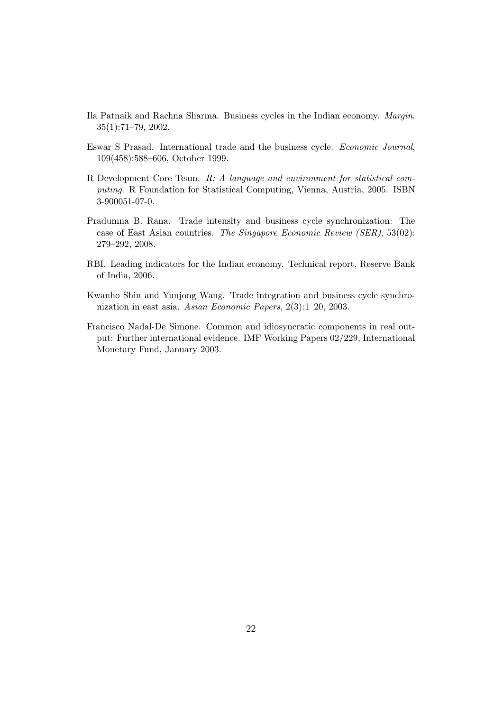- <span id="page-22-3"></span>Ila Patnaik and Rachna Sharma. Business cycles in the Indian economy. Margin, 35(1):71–79, 2002.
- Eswar S Prasad. International trade and the business cycle. Economic Journal, 109(458):588–606, October 1999.
- R Development Core Team. R: A language and environment for statistical computing. R Foundation for Statistical Computing, Vienna, Austria, 2005. ISBN 3-900051-07-0.
- <span id="page-22-1"></span>Pradumna B. Rana. Trade intensity and business cycle synchronization: The case of East Asian countries. The Singapore Economic Review (SER), 53(02): 279–292, 2008.
- <span id="page-22-2"></span>RBI. Leading indicators for the Indian economy. Technical report, Reserve Bank of India, 2006.
- <span id="page-22-0"></span>Kwanho Shin and Yunjong Wang. Trade integration and business cycle synchronization in east asia. Asian Economic Papers, 2(3):1–20, 2003.
- <span id="page-22-4"></span>Francisco Nadal-De Simone. Common and idiosyncratic components in real output: Further international evidence. IMF Working Papers 02/229, International Monetary Fund, January 2003.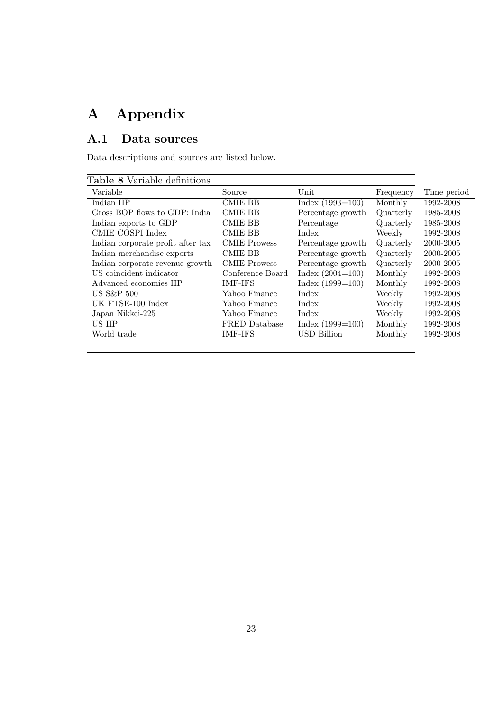# <span id="page-23-0"></span>A Appendix

### <span id="page-23-1"></span>A.1 Data sources

Data descriptions and sources are listed below.

| Source              | Unit               | Frequency | Time period |
|---------------------|--------------------|-----------|-------------|
| <b>CMIE BB</b>      | $Index(1993=100)$  | Monthly   | 1992-2008   |
| <b>CMIE BB</b>      | Percentage growth  | Quarterly | 1985-2008   |
| <b>CMIE BB</b>      | Percentage         | Quarterly | 1985-2008   |
| <b>CMIE BB</b>      | Index              | Weekly    | 1992-2008   |
| <b>CMIE</b> Prowess | Percentage growth  | Quarterly | 2000-2005   |
| <b>CMIE BB</b>      | Percentage growth  | Quarterly | 2000-2005   |
| <b>CMIE Prowess</b> | Percentage growth  | Quarterly | 2000-2005   |
| Conference Board    | Index $(2004=100)$ | Monthly   | 1992-2008   |
| IMF-IFS             | $Index (1999=100)$ | Monthly   | 1992-2008   |
| Yahoo Finance       | Index              | Weekly    | 1992-2008   |
| Yahoo Finance       | Index              | Weekly    | 1992-2008   |
| Yahoo Finance       | Index              | Weekly    | 1992-2008   |
| FRED Database       | $Index (1999=100)$ | Monthly   | 1992-2008   |
| <b>IMF-IFS</b>      | <b>USD Billion</b> | Monthly   | 1992-2008   |
|                     |                    |           |             |

Table 8 Variable definitions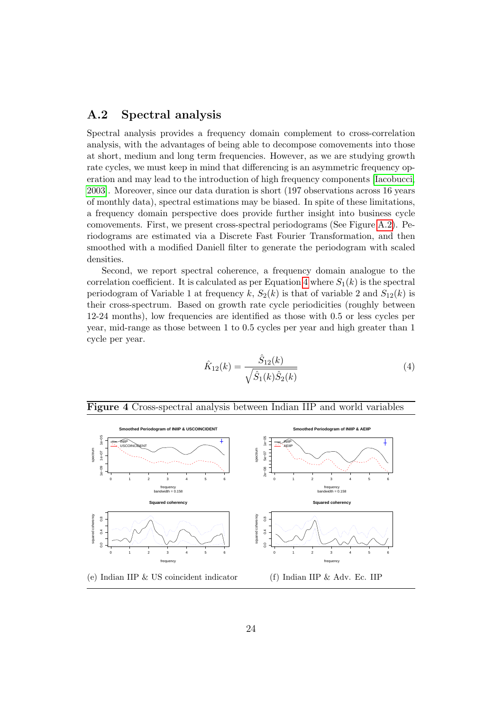### <span id="page-24-0"></span>A.2 Spectral analysis

Spectral analysis provides a frequency domain complement to cross-correlation analysis, with the advantages of being able to decompose comovements into those at short, medium and long term frequencies. However, as we are studying growth rate cycles, we must keep in mind that differencing is an asymmetric frequency operation and may lead to the introduction of high frequency components [\[Iacobucci,](#page-21-13) [2003\]](#page-21-13). Moreover, since our data duration is short (197 observations across 16 years of monthly data), spectral estimations may be biased. In spite of these limitations, a frequency domain perspective does provide further insight into business cycle comovements. First, we present cross-spectral periodograms (See Figure [A.2\)](#page-24-1). Periodograms are estimated via a Discrete Fast Fourier Transformation, and then smoothed with a modified Daniell filter to generate the periodogram with scaled densities.

Second, we report spectral coherence, a frequency domain analogue to the correlation coefficient. It is calculated as per Equation [4](#page-24-1) where  $S_1(k)$  is the spectral periodogram of Variable 1 at frequency k,  $S_2(k)$  is that of variable 2 and  $S_{12}(k)$  is their cross-spectrum. Based on growth rate cycle periodicities (roughly between 12-24 months), low frequencies are identified as those with 0.5 or less cycles per year, mid-range as those between 1 to 0.5 cycles per year and high greater than 1 cycle per year.

<span id="page-24-1"></span>
$$
\hat{K}_{12}(k) = \frac{\hat{S}_{12}(k)}{\sqrt{\hat{S}_1(k)\hat{S}_2(k)}}\tag{4}
$$



Figure 4 Cross-spectral analysis between Indian IIP and world variables